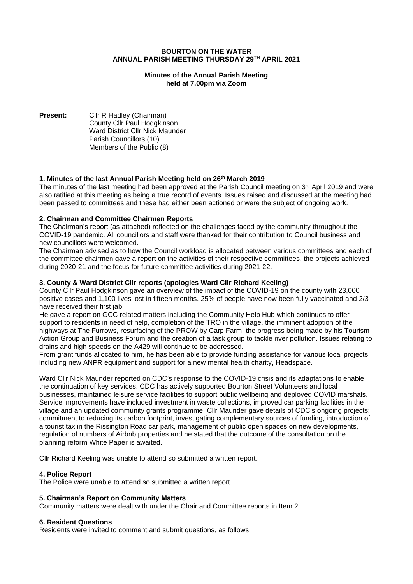### **BOURTON ON THE WATER ANNUAL PARISH MEETING THURSDAY 29 TH APRIL 2021**

## **Minutes of the Annual Parish Meeting held at 7.00pm via Zoom**

**Present:** Cllr R Hadley (Chairman) County Cllr Paul Hodgkinson Ward District Cllr Nick Maunder Parish Councillors (10) Members of the Public (8)

# **1. Minutes of the last Annual Parish Meeting held on 26 th March 2019**

The minutes of the last meeting had been approved at the Parish Council meeting on 3<sup>rd</sup> April 2019 and were also ratified at this meeting as being a true record of events. Issues raised and discussed at the meeting had been passed to committees and these had either been actioned or were the subject of ongoing work.

## **2. Chairman and Committee Chairmen Reports**

The Chairman's report (as attached) reflected on the challenges faced by the community throughout the COVID-19 pandemic. All councillors and staff were thanked for their contribution to Council business and new councillors were welcomed.

The Chairman advised as to how the Council workload is allocated between various committees and each of the committee chairmen gave a report on the activities of their respective committees, the projects achieved during 2020-21 and the focus for future committee activities during 2021-22.

## **3. County & Ward District Cllr reports (apologies Ward Cllr Richard Keeling)**

County Cllr Paul Hodgkinson gave an overview of the impact of the COVID-19 on the county with 23,000 positive cases and 1,100 lives lost in fifteen months. 25% of people have now been fully vaccinated and 2/3 have received their first jab.

He gave a report on GCC related matters including the Community Help Hub which continues to offer support to residents in need of help, completion of the TRO in the village, the imminent adoption of the highways at The Furrows, resurfacing of the PROW by Carp Farm, the progress being made by his Tourism Action Group and Business Forum and the creation of a task group to tackle river pollution. Issues relating to drains and high speeds on the A429 will continue to be addressed.

From grant funds allocated to him, he has been able to provide funding assistance for various local projects including new ANPR equipment and support for a new mental health charity, Headspace.

Ward Cllr Nick Maunder reported on CDC's response to the COVID-19 crisis and its adaptations to enable the continuation of key services. CDC has actively supported Bourton Street Volunteers and local businesses, maintained leisure service facilities to support public wellbeing and deployed COVID marshals. Service improvements have included investment in waste collections, improved car parking facilities in the village and an updated community grants programme. Cllr Maunder gave details of CDC's ongoing projects: commitment to reducing its carbon footprint, investigating complementary sources of funding, introduction of a tourist tax in the Rissington Road car park, management of public open spaces on new developments, regulation of numbers of Airbnb properties and he stated that the outcome of the consultation on the planning reform White Paper is awaited.

Cllr Richard Keeling was unable to attend so submitted a written report.

# **4. Police Report**

The Police were unable to attend so submitted a written report

### **5. Chairman's Report on Community Matters**

Community matters were dealt with under the Chair and Committee reports in Item 2.

### **6. Resident Questions**

Residents were invited to comment and submit questions, as follows: